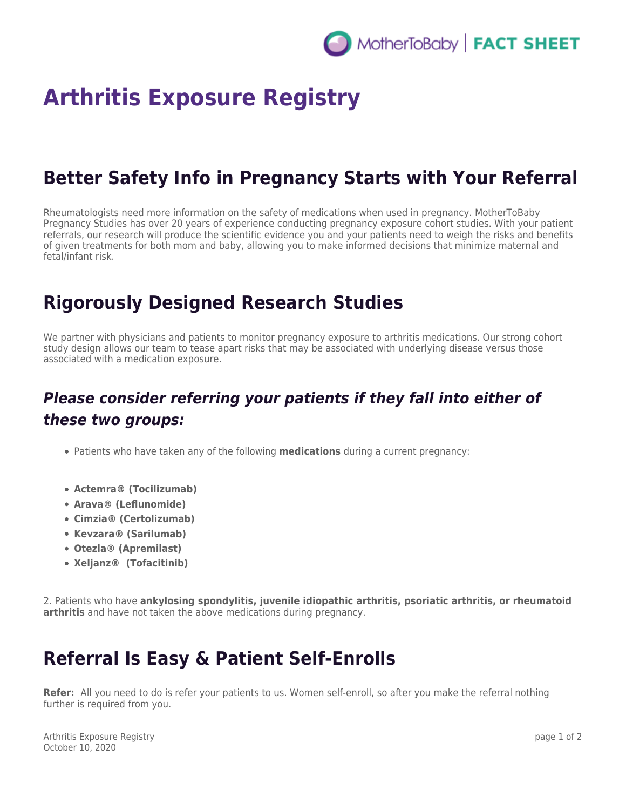# **Arthritis Exposure Registry**

### **Better Safety Info in Pregnancy Starts with Your Referral**

Rheumatologists need more information on the safety of medications when used in pregnancy. MotherToBaby Pregnancy Studies has over 20 years of experience conducting pregnancy exposure cohort studies. With your patient referrals, our research will produce the scientific evidence you and your patients need to weigh the risks and benefits of given treatments for both mom and baby, allowing you to make informed decisions that minimize maternal and fetal/infant risk.

### **Rigorously Designed Research Studies**

We partner with physicians and patients to monitor pregnancy exposure to arthritis medications. Our strong cohort study design allows our team to tease apart risks that may be associated with underlying disease versus those associated with a medication exposure.

#### *Please consider referring your patients if they fall into either of these two groups:*

- Patients who have taken any of the following **medications** during a current pregnancy:
- **Actemra® (Tocilizumab)**
- **Arava® (Leflunomide)**
- **Cimzia® (Certolizumab)**
- **Kevzara® (Sarilumab)**
- **Otezla® (Apremilast)**
- **Xeljanz® (Tofacitinib)**

2. Patients who have **ankylosing spondylitis, juvenile idiopathic arthritis, psoriatic arthritis, or rheumatoid arthritis** and have not taken the above medications during pregnancy.

## **Referral Is Easy & Patient Self-Enrolls**

**Refer:** All you need to do is refer your patients to us. Women self-enroll, so after you make the referral nothing further is required from you.

Arthritis Exposure Registry October 10, 2020